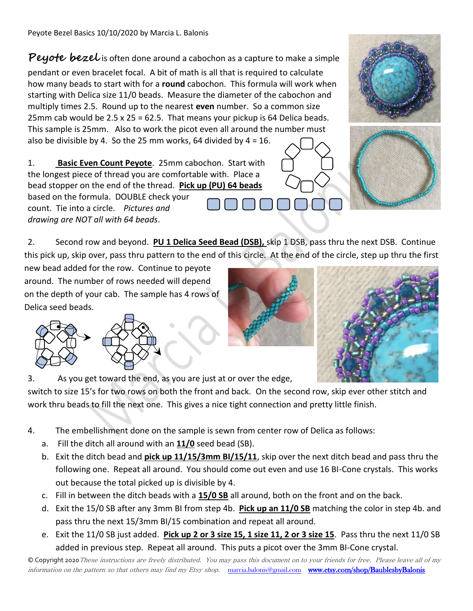## **Peyote bezel** is often done around a cabochon as a capture to make a simple

pendant or even bracelet focal. A bit of math is all that is required to calculate how many beads to start with for a **round** cabochon. This formula will work when starting with Delica size 11/0 beads. Measure the diameter of the cabochon and multiply times 2.5. Round up to the nearest **even** number. So a common size 25mm cab would be 2.5 x 25 = 62.5. That means your pickup is 64 Delica beads. This sample is 25mm. Also to work the picot even all around the number must also be divisible by 4. So the 25 mm works, 64 divided by  $4 = 16$ .

1. **Basic Even Count Peyote**. 25mm cabochon. Start with the longest piece of thread you are comfortable with. Place a bead stopper on the end of the thread. **Pick up (PU) 64 beads**

based on the formula. DOUBLE check your count. Tie into a circle. *Pictures and drawing are NOT all with 64 beads*.

2. Second row and beyond. **PU 1 Delica Seed Bead (DSB),** skip 1 DSB, pass thru the next DSB. Continue this pick up, skip over, pass thru pattern to the end of this circle. At the end of the circle, step up thru the first

new bead added for the row. Continue to peyote around. The number of rows needed will depend on the depth of your cab. The sample has 4 rows of Delica seed beads.



3. As you get toward the end, as you are just at or over the edge,

switch to size 15's for two rows on both the front and back. On the second row, skip ever other stitch and work thru beads to fill the next one. This gives a nice tight connection and pretty little finish.

- 4. The embellishment done on the sample is sewn from center row of Delica as follows:
	- a. Fill the ditch all around with an **11/0** seed bead (SB).
	- b. Exit the ditch bead and **pick up 11/15/3mm BI/15/11**, skip over the next ditch bead and pass thru the following one. Repeat all around. You should come out even and use 16 BI-Cone crystals. This works out because the total picked up is divisible by 4.
	- c. Fill in between the ditch beads with a **15/0 SB** all around, both on the front and on the back.
	- d. Exit the 15/0 SB after any 3mm BI from step 4b. **Pick up an 11/0 SB** matching the color in step 4b. and pass thru the next 15/3mm BI/15 combination and repeat all around.
	- e. Exit the 11/0 SB just added. **Pick up 2 or 3 size 15, 1 size 11, 2 or 3 size 15**. Pass thru the next 11/0 SB added in previous step. Repeat all around. This puts a picot over the 3mm BI-Cone crystal.

© Copyright 2020These instructions are freely distributed. You may pass this document on to your friends for free. Please leave all of my information on the pattern so that others may find my Etsy shop. [marcia.balonis@gmail.com](mailto:marcia.balonis@gmail.com) www.etsy.com/shop/BaublesbyBalonis